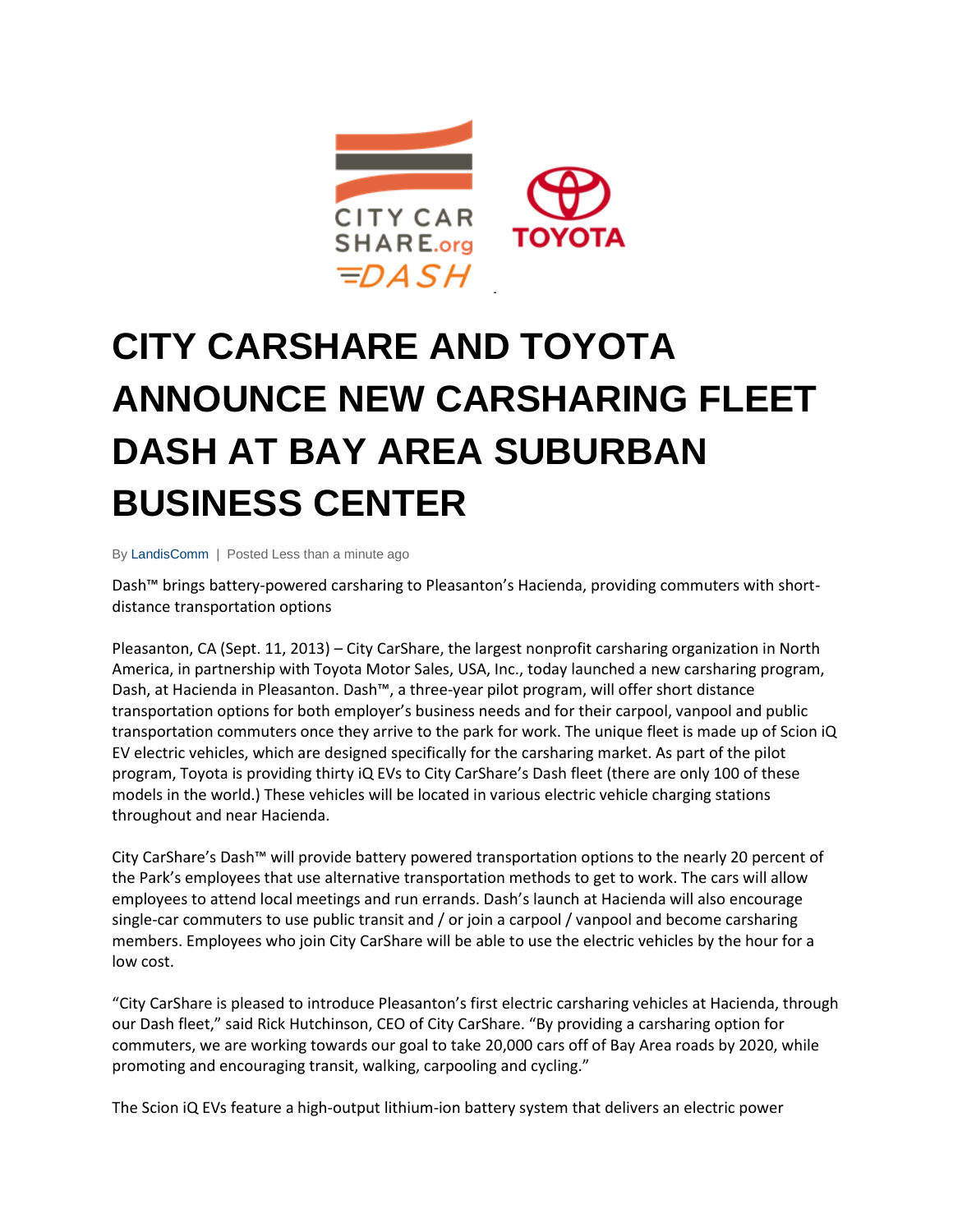

## **CITY CARSHARE AND TOYOTA ANNOUNCE NEW CARSHARING FLEET DASH AT BAY AREA SUBURBAN BUSINESS CENTER**

By [LandisComm](http://ireport.cnn.com/people/LandisComm) | Posted Less than a minute ago

Dash™ brings battery-powered carsharing to Pleasanton's Hacienda, providing commuters with shortdistance transportation options

Pleasanton, CA (Sept. 11, 2013) – City CarShare, the largest nonprofit carsharing organization in North America, in partnership with Toyota Motor Sales, USA, Inc., today launched a new carsharing program, Dash, at Hacienda in Pleasanton. Dash™, a three-year pilot program, will offer short distance transportation options for both employer's business needs and for their carpool, vanpool and public transportation commuters once they arrive to the park for work. The unique fleet is made up of Scion iQ EV electric vehicles, which are designed specifically for the carsharing market. As part of the pilot program, Toyota is providing thirty iQ EVs to City CarShare's Dash fleet (there are only 100 of these models in the world.) These vehicles will be located in various electric vehicle charging stations throughout and near Hacienda.

City CarShare's Dash™ will provide battery powered transportation options to the nearly 20 percent of the Park's employees that use alternative transportation methods to get to work. The cars will allow employees to attend local meetings and run errands. Dash's launch at Hacienda will also encourage single-car commuters to use public transit and / or join a carpool / vanpool and become carsharing members. Employees who join City CarShare will be able to use the electric vehicles by the hour for a low cost.

"City CarShare is pleased to introduce Pleasanton's first electric carsharing vehicles at Hacienda, through our Dash fleet," said Rick Hutchinson, CEO of City CarShare. "By providing a carsharing option for commuters, we are working towards our goal to take 20,000 cars off of Bay Area roads by 2020, while promoting and encouraging transit, walking, carpooling and cycling."

The Scion iQ EVs feature a high-output lithium-ion battery system that delivers an electric power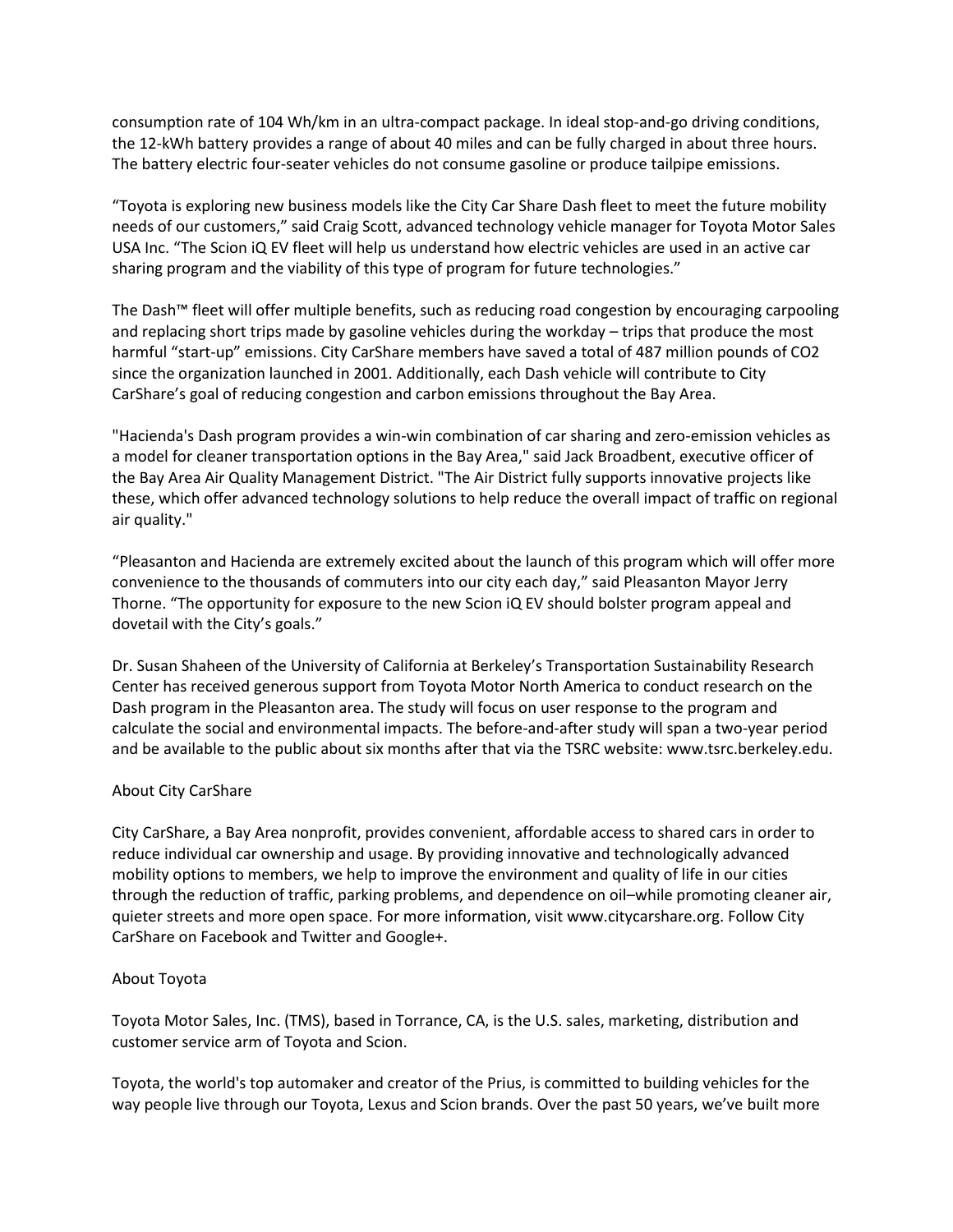consumption rate of 104 Wh/km in an ultra-compact package. In ideal stop-and-go driving conditions, the 12-kWh battery provides a range of about 40 miles and can be fully charged in about three hours. The battery electric four-seater vehicles do not consume gasoline or produce tailpipe emissions.

"Toyota is exploring new business models like the City Car Share Dash fleet to meet the future mobility needs of our customers," said Craig Scott, advanced technology vehicle manager for Toyota Motor Sales USA Inc. "The Scion iQ EV fleet will help us understand how electric vehicles are used in an active car sharing program and the viability of this type of program for future technologies."

The Dash™ fleet will offer multiple benefits, such as reducing road congestion by encouraging carpooling and replacing short trips made by gasoline vehicles during the workday – trips that produce the most harmful "start-up" emissions. City CarShare members have saved a total of 487 million pounds of CO2 since the organization launched in 2001. Additionally, each Dash vehicle will contribute to City CarShare's goal of reducing congestion and carbon emissions throughout the Bay Area.

"Hacienda's Dash program provides a win-win combination of car sharing and zero-emission vehicles as a model for cleaner transportation options in the Bay Area," said Jack Broadbent, executive officer of the Bay Area Air Quality Management District. "The Air District fully supports innovative projects like these, which offer advanced technology solutions to help reduce the overall impact of traffic on regional air quality."

"Pleasanton and Hacienda are extremely excited about the launch of this program which will offer more convenience to the thousands of commuters into our city each day," said Pleasanton Mayor Jerry Thorne. "The opportunity for exposure to the new Scion iQ EV should bolster program appeal and dovetail with the City's goals."

Dr. Susan Shaheen of the University of California at Berkeley's Transportation Sustainability Research Center has received generous support from Toyota Motor North America to conduct research on the Dash program in the Pleasanton area. The study will focus on user response to the program and calculate the social and environmental impacts. The before-and-after study will span a two-year period and be available to the public about six months after that via the TSRC website: www.tsrc.berkeley.edu.

## About City CarShare

City CarShare, a Bay Area nonprofit, provides convenient, affordable access to shared cars in order to reduce individual car ownership and usage. By providing innovative and technologically advanced mobility options to members, we help to improve the environment and quality of life in our cities through the reduction of traffic, parking problems, and dependence on oil–while promoting cleaner air, quieter streets and more open space. For more information, visit www.citycarshare.org. Follow City CarShare on Facebook and Twitter and Google+.

## About Toyota

Toyota Motor Sales, Inc. (TMS), based in Torrance, CA, is the U.S. sales, marketing, distribution and customer service arm of Toyota and Scion.

Toyota, the world's top automaker and creator of the Prius, is committed to building vehicles for the way people live through our Toyota, Lexus and Scion brands. Over the past 50 years, we've built more